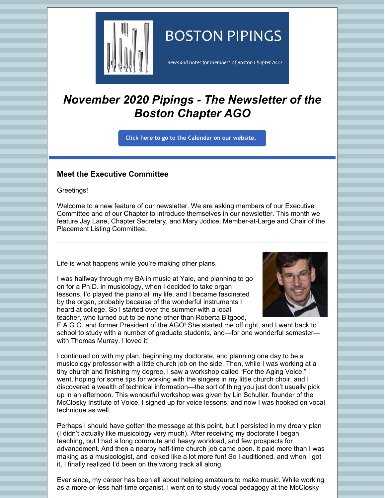

# **BOSTON PIPINGS**

news and notes for members of Boston Chapter AGO

## *November 2020 Pipings - The Newsletter of the Boston Chapter AGO*

**Click here to go to the [Calendar](http://www.bostonago.org/calendar-2/) on our website.**

### **Meet the Executive Committee**

Greetings!

Welcome to a new feature of our newsletter. We are asking members of our Executive Committee and of our Chapter to introduce themselves in our newsletter. This month we feature Jay Lane, Chapter Secretary, and Mary Jodice, Member-at-Large and Chair of the Placement Listing Committee.

Life is what happens while you're making other plans.

I was halfway through my BA in music at Yale, and planning to go on for a Ph.D. in musicology, when I decided to take organ lessons. I'd played the piano all my life, and I became fascinated by the organ, probably because of the wonderful instruments I heard at college. So I started over the summer with a local teacher, who turned out to be none other than Roberta Bitgood,



F.A.G.O. and former President of the AGO! She started me off right, and I went back to school to study with a number of graduate students, and—for one wonderful semester with Thomas Murray. I loved it!

I continued on with my plan, beginning my doctorate, and planning one day to be a musicology professor with a little church job on the side. Then, while I was working at a tiny church and finishing my degree, I saw a workshop called "For the Aging Voice." I went, hoping for some tips for working with the singers in my little church choir, and I discovered a wealth of technical information—the sort of thing you just don't usually pick up in an afternoon. This wonderful workshop was given by Lin Schuller, founder of the McClosky Institute of Voice. I signed up for voice lessons, and now I was hooked on vocal technique as well.

Perhaps I should have gotten the message at this point, but I persisted in my dreary plan (I didn't actually like musicology very much). After receiving my doctorate I began teaching, but I had a long commute and heavy workload, and few prospects for advancement. And then a nearby half-time church job came open. It paid more than I was making as a musicologist, and looked like a lot more fun! So I auditioned, and when I got it, I finally realized I'd been on the wrong track all along.

Ever since, my career has been all about helping amateurs to make music. While working as a more-or-less half-time organist, I went on to study vocal pedagogy at the McClosky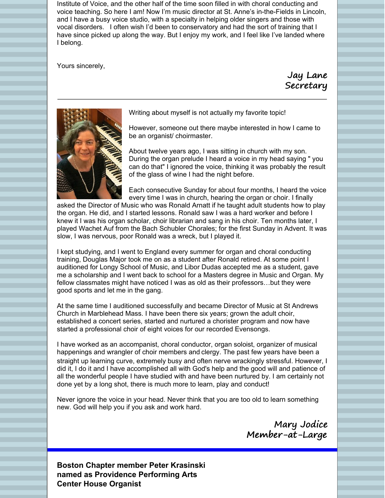Institute of Voice, and the other half of the time soon filled in with choral conducting and voice teaching. So here I am! Now I'm music director at St. Anne's in-the-Fields in Lincoln, and I have a busy voice studio, with a specialty in helping older singers and those with vocal disorders. I often wish I'd been to conservatory and had the sort of training that I have since picked up along the way. But I enjoy my work, and I feel like I've landed where I belong.

Yours sincerely,

Jay Lane **Secretary** 



Writing about myself is not actually my favorite topic!

However, someone out there maybe interested in how I came to be an organist/ choirmaster.

About twelve years ago, I was sitting in church with my son. During the organ prelude I heard a voice in my head saying " you can do that" I ignored the voice, thinking it was probably the result of the glass of wine I had the night before.

Each consecutive Sunday for about four months, I heard the voice every time I was in church, hearing the organ or choir. I finally

asked the Director of Music who was Ronald Arnatt if he taught adult students how to play the organ. He did, and I started lessons. Ronald saw I was a hard worker and before I knew it I was his organ scholar, choir librarian and sang in his choir. Ten months later, I played Wachet Auf from the Bach Schubler Chorales; for the first Sunday in Advent. It was slow, I was nervous, poor Ronald was a wreck, but I played it.

I kept studying, and I went to England every summer for organ and choral conducting training, Douglas Major took me on as a student after Ronald retired. At some point I auditioned for Longy School of Music, and Libor Dudas accepted me as a student, gave me a scholarship and I went back to school for a Masters degree in Music and Organ. My fellow classmates might have noticed I was as old as their professors…but they were good sports and let me in the gang.

At the same time I auditioned successfully and became Director of Music at St Andrews Church in Marblehead Mass. I have been there six years; grown the adult choir, established a concert series, started and nurtured a chorister program and now have started a professional choir of eight voices for our recorded Evensongs.

I have worked as an accompanist, choral conductor, organ soloist, organizer of musical happenings and wrangler of choir members and clergy. The past few years have been a straight up learning curve, extremely busy and often nerve wrackingly stressful. However, I did it, I do it and I have accomplished all with God's help and the good will and patience of all the wonderful people I have studied with and have been nurtured by. I am certainly not done yet by a long shot, there is much more to learn, play and conduct!

Never ignore the voice in your head. Never think that you are too old to learn something new. God will help you if you ask and work hard.

> Mary Jodice Member-at-Large

**Boston Chapter member Peter Krasinski named as Providence Performing Arts Center House Organist**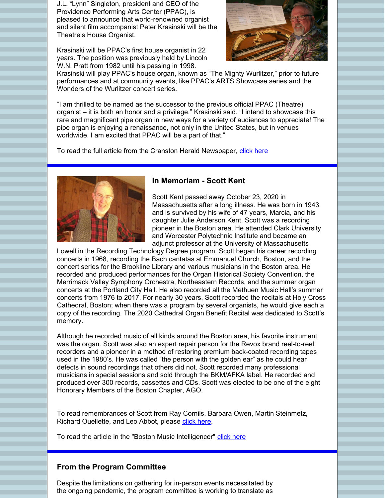J.L. "Lynn" Singleton, president and CEO of the Providence Performing Arts Center (PPAC), is pleased to announce that world-renowned organist and silent film accompanist Peter Krasinski will be the Theatre's House Organist.

Krasinski will be PPAC's first house organist in 22 years. The position was previously held by Lincoln W.N. Pratt from 1982 until his passing in 1998.



Krasinski will play PPAC's house organ, known as "The Mighty Wurlitzer," prior to future performances and at community events, like PPAC's ARTS Showcase series and the Wonders of the Wurlitzer concert series.

"I am thrilled to be named as the successor to the previous official PPAC (Theatre) organist – it is both an honor and a privilege," Krasinski said. "I intend to showcase this rare and magnificent pipe organ in new ways for a variety of audiences to appreciate! The pipe organ is enjoying a renaissance, not only in the United States, but in venues worldwide. I am excited that PPAC will be a part of that."

To read the full article from the Cranston Herald Newspaper, [click](https://cranstononline.com/stories/ppac-announces-krasinski-as-house-organist,155848?fbclid=IwAR3OKwHXHEKpi9yXmtoudfyTk0dfAw55gD_FKW7GgFpmpZQwuUti9-b4ZVE) here



#### **In Memoriam - Scott Kent**

Scott Kent passed away October 23, 2020 in Massachusetts after a long illness. He was born in 1943 and is survived by his wife of 47 years, Marcia, and his daughter Julie Anderson Kent. Scott was a recording pioneer in the Boston area. He attended Clark University and Worcester Polytechnic Institute and became an adjunct professor at the University of Massachusetts

Lowell in the Recording Technology Degree program. Scott began his career recording concerts in 1968, recording the Bach cantatas at Emmanuel Church, Boston, and the concert series for the Brookline Library and various musicians in the Boston area. He recorded and produced performances for the Organ Historical Society Convention, the Merrimack Valley Symphony Orchestra, Northeastern Records, and the summer organ concerts at the Portland City Hall. He also recorded all the Methuen Music Hall's summer concerts from 1976 to 2017. For nearly 30 years, Scott recorded the recitals at Holy Cross Cathedral, Boston; when there was a program by several organists, he would give each a copy of the recording. The 2020 Cathedral Organ Benefit Recital was dedicated to Scott's memory.

Although he recorded music of all kinds around the Boston area, his favorite instrument was the organ. Scott was also an expert repair person for the Revox brand reel-to-reel recorders and a pioneer in a method of restoring premium back-coated recording tapes used in the 1980's. He was called "the person with the golden ear" as he could hear defects in sound recordings that others did not. Scott recorded many professional musicians in special sessions and sold through the BKM/AFKA label. He recorded and produced over 300 records, cassettes and CDs. Scott was elected to be one of the eight Honorary Members of the Boston Chapter, AGO.

To read remembrances of Scott from Ray Cornils, Barbara Owen, Martin Steinmetz, Richard Ouellette, and Leo Abbot, please [click](http://www.bostonago.org/remembrance) here.

To read the article in the "Boston Music Intelligencer" click [here](https://www.classical-scene.com/2020/11/02/scott-kent/)

#### **From the Program Committee**

Despite the limitations on gathering for in-person events necessitated by the ongoing pandemic, the program committee is working to translate as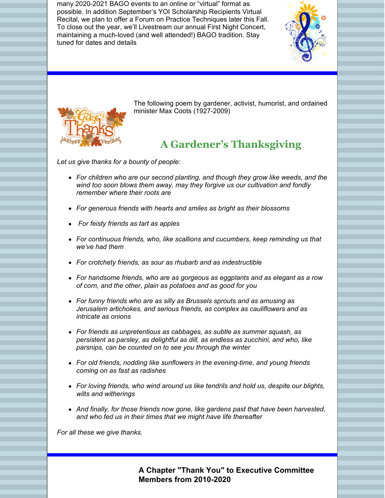many 2020-2021 BAGO events to an online or "virtual" format as possible. In addition September's YOI Scholarship Recipients Virtual Recital, we plan to offer a Forum on Practice Techniques later this Fall. To close out the year, we'll Livestream our annual First Night Concert, maintaining a much-loved (and well attended!) BAGO tradition. Stay tuned for dates and details





The following poem by gardener, activist, humorist, and ordained minister Max Coots (1927-2009)

### **A Gardener's Thanksgiving**

*Let us give thanks for a bounty of people:*

- *For children who are our second planting, and though they grow like weeds, and the wind too soon blows them away, may they forgive us our cultivation and fondly remember where their roots are*
- *For generous friends with hearts and smiles as bright as their blossoms*
- *For feisty friends as tart as apples*
- *For continuous friends, who, like scallions and cucumbers, keep reminding us that we've had them*
- *For crotchety friends, as sour as rhubarb and as indestructible*
- *For handsome friends, who are as gorgeous as eggplants and as elegant as a row of corn, and the other, plain as potatoes and as good for you*
- *For funny friends who are as silly as Brussels sprouts and as amusing as Jerusalem artichokes, and serious friends, as complex as cauliflowers and as intricate as onions*
- *For friends as unpretentious as cabbages, as subtle as summer squash, as persistent as parsley, as delightful as dill, as endless as zucchini, and who, like parsnips, can be counted on to see you through the winter*
- *For old friends, nodding like sunflowers in the evening-time, and young friends coming on as fast as radishes*
- *For loving friends, who wind around us like tendrils and hold us, despite our blights, wilts and witherings*
- *And finally, for those friends now gone, like gardens past that have been harvested, and who fed us in their times that we might have life thereafter*

*For all these we give thanks.*

**A Chapter "Thank You" to Executive Committee Members from 2010-2020**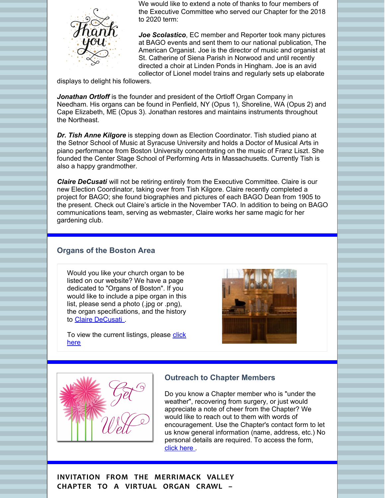

We would like to extend a note of thanks to four members of the Executive Committee who served our Chapter for the 2018 to 2020 term:

*Joe Scolastico*, EC member and Reporter took many pictures at BAGO events and sent them to our national publication, The American Organist. Joe is the director of music and organist at St. Catherine of Siena Parish in Norwood and until recently directed a choir at Linden Ponds in Hingham. Joe is an avid collector of Lionel model trains and regularly sets up elaborate

displays to delight his followers.

*Jonathan Ortloff* is the founder and president of the Ortloff Organ Company in Needham. His organs can be found in Penfield, NY (Opus 1), Shoreline, WA (Opus 2) and Cape Elizabeth, ME (Opus 3). Jonathan restores and maintains instruments throughout the Northeast.

*Dr. Tish Anne Kilgore* is stepping down as Election Coordinator. Tish studied piano at the Setnor School of Music at Syracuse University and holds a Doctor of Musical Arts in piano performance from Boston University concentrating on the music of Franz Liszt. She founded the Center Stage School of Performing Arts in Massachusetts. Currently Tish is also a happy grandmother.

*Claire DeCusati* will not be retiring entirely from the Executive Committee. Claire is our new Election Coordinator, taking over from Tish Kilgore. Claire recently completed a project for BAGO; she found biographies and pictures of each BAGO Dean from 1905 to the present. Check out Claire's article in the November TAO. In addition to being on BAGO communications team, serving as webmaster, Claire works her same magic for her gardening club.

#### **Organs of the Boston Area**

Would you like your church organ to be listed on our website? We have a page dedicated to "Organs of Boston". If you would like to include a pipe organ in this list, please send a photo (.jpg or .png), the organ specifications, and the history to Claire [DeCusati](mailto:bostonago@verizon.net)

To view the current [listings,](http://www.bostonago.org/organs-of-boston/) please click here





#### **Outreach to Chapter Members**

Do you know a Chapter member who is "under the weather", recovering from surgery, or just would appreciate a note of cheer from the Chapter? We would like to reach out to them with words of encouragement. Use the Chapter's contact form to let us know general information (name, address, etc.) No personal details are required. To access the form, click [here](http://www.bostonago.org/contact/)

**INVITATION FROM THE MERRIMACK VALLEY CHAPTER TO A VIRTUAL ORGAN CRAWL –**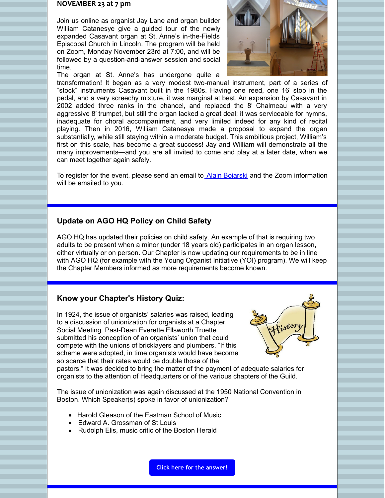#### **NOVEMBER 23 at 7 pm**

Join us online as organist Jay Lane and organ builder William Catanesye give a guided tour of the newly expanded Casavant organ at St. Anne's in-the-Fields Episcopal Church in Lincoln. The program will be held on Zoom, Monday November 23rd at 7:00, and will be followed by a question-and-answer session and social time.



The organ at St. Anne's has undergone quite a

transformation! It began as a very modest two-manual instrument, part of a series of "stock" instruments Casavant built in the 1980s. Having one reed, one 16' stop in the pedal, and a very screechy mixture, it was marginal at best. An expansion by Casavant in 2002 added three ranks in the chancel, and replaced the 8' Chalmeau with a very aggressive 8' trumpet, but still the organ lacked a great deal; it was serviceable for hymns, inadequate for choral accompaniment, and very limited indeed for any kind of recital playing. Then in 2016, William Catanesye made a proposal to expand the organ substantially, while still staying within a moderate budget. This ambitious project, William's first on this scale, has become a great success! Jay and William will demonstrate all the many improvements—and you are all invited to come and play at a later date, when we can meet together again safely.

To register for the event, please send an email to Alain [Bojarski](mailto:Alain.bojarski@comcast.net) and the Zoom information will be emailed to you.

#### **Update on AGO HQ Policy on Child Safety**

AGO HQ has updated their policies on child safety. An example of that is requiring two adults to be present when a minor (under 18 years old) participates in an organ lesson, either virtually or on person. Our Chapter is now updating our requirements to be in line with AGO HQ (for example with the Young Organist Initiative (YOI) program). We will keep the Chapter Members informed as more requirements become known.

#### **Know your Chapter's History Quiz:**

In 1924, the issue of organists' salaries was raised, leading to a discussion of unionization for organists at a Chapter Social Meeting. Past-Dean Everette Ellsworth Truette submitted his conception of an organists' union that could compete with the unions of bricklayers and plumbers. "If this scheme were adopted, in time organists would have become so scarce that their rates would be double those of the



pastors." It was decided to bring the matter of the payment of adequate salaries for organists to the attention of Headquarters or of the various chapters of the Guild.

The issue of unionization was again discussed at the 1950 National Convention in Boston. Which Speaker(s) spoke in favor of unionization?

- Harold Gleason of the Eastman School of Music
- Edward A. Grossman of St Louis
- Rudolph Elis, music critic of the Boston Herald

**Click here for the [answer!](http://www.bostonago.org/quizanswers)**